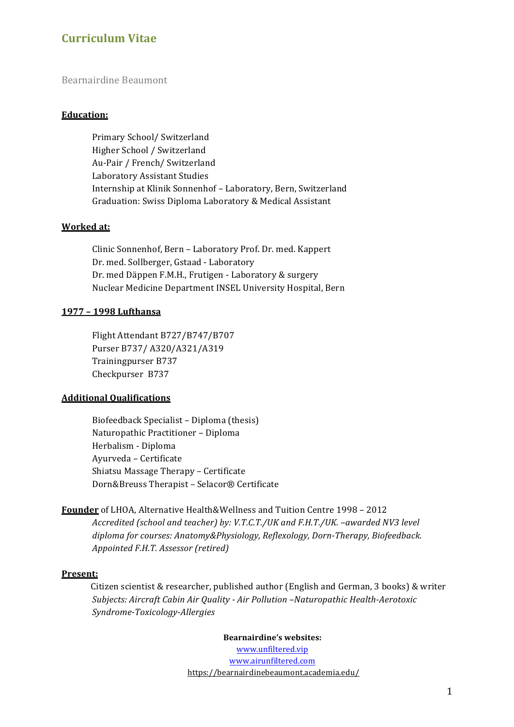# **Curriculum Vitae**

## Bearnairdine Beaumont

### **Education:**

Primary School/ Switzerland Higher School / Switzerland Au-Pair / French/ Switzerland Laboratory Assistant Studies Internship at Klinik Sonnenhof - Laboratory, Bern, Switzerland Graduation: Swiss Diploma Laboratory & Medical Assistant

## **Worked at:**

Clinic Sonnenhof, Bern - Laboratory Prof. Dr. med. Kappert Dr. med. Sollberger, Gstaad - Laboratory Dr. med Däppen F.M.H., Frutigen - Laboratory & surgery Nuclear Medicine Department INSEL University Hospital, Bern

### **1977 – 1998 Lufthansa**

Flight Attendant B727/B747/B707 Purser B737/ A320/A321/A319 Trainingpurser B737 Checkpurser B737

### **Additional Qualifications**

Biofeedback Specialist - Diploma (thesis) Naturopathic Practitioner - Diploma Herbalism - Diploma Ayurveda – Certificate Shiatsu Massage Therapy - Certificate Dorn&Breuss Therapist – Selacor® Certificate

## **Founder** of LHOA, Alternative Health&Wellness and Tuition Centre 1998 - 2012 *Accredited (school and teacher) by: V.T.C.T./UK and F.H.T./UK. –awarded NV3 level* diploma for courses: Anatomy&Physiology, Reflexology, Dorn-Therapy, Biofeedback. *Appointed F.H.T. Assessor (retired)*

### **Present:**

Citizen scientist & researcher, published author (English and German, 3 books) & writer *Subjects: Aircraft Cabin Air Quality - Air Pollution –Naturopathic Health-Aerotoxic Syndrome-Toxicology-Allergies*

**Bearnairdine's websites:** 

www.unfiltered.vip www.airunfiltered.com https://bearnairdinebeaumont.academia.edu/